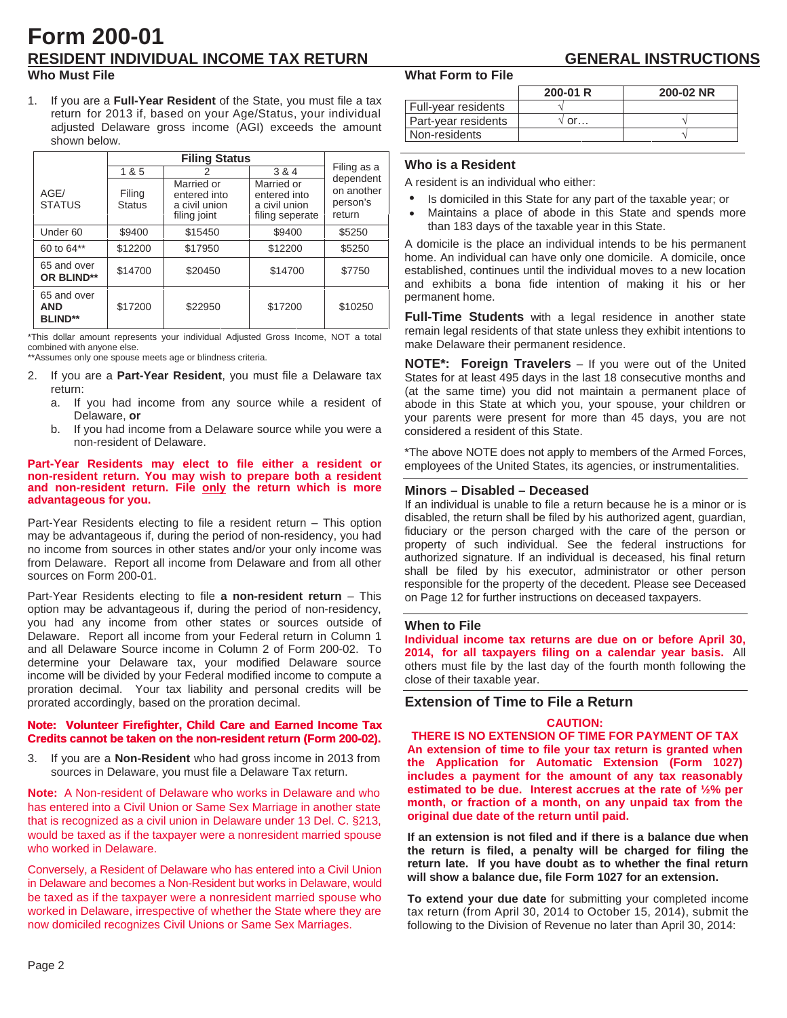# **Form 200-01 RESIDENT INDIVIDUAL INCOME TAX RETURN GENERAL INSTRUCTIONS**

### **Who Must File**

1. If you are a **Full-Year Resident** of the State, you must file a tax return for 2013 if, based on your Age/Status, your individual adjusted Delaware gross income (AGI) exceeds the amount shown below.

|                                             | 1 & 5                   | 2                                                           | 3 & 4                                                          | Filing as a                                   |  |
|---------------------------------------------|-------------------------|-------------------------------------------------------------|----------------------------------------------------------------|-----------------------------------------------|--|
| AGE/<br><b>STATUS</b>                       | Filing<br><b>Status</b> | Married or<br>entered into<br>a civil union<br>filing joint | Married or<br>entered into<br>a civil union<br>filing seperate | dependent<br>on another<br>person's<br>return |  |
| Under <sub>60</sub>                         | \$9400                  | \$15450                                                     | \$9400                                                         | \$5250                                        |  |
| 60 to 64**                                  | \$12200                 | \$17950                                                     | \$12200                                                        | \$5250                                        |  |
| 65 and over<br>OR BLIND**                   | \$14700                 | \$20450                                                     | \$14700                                                        | \$7750                                        |  |
| 65 and over<br><b>AND</b><br><b>BLIND**</b> | \$17200                 | \$22950                                                     | \$17200                                                        | \$10250                                       |  |

\*This dollar amount represents your individual Adjusted Gross Income, NOT a total combined with anyone else.

\*\*Assumes only one spouse meets age or blindness criteria.

- 2. If you are a **Part-Year Resident**, you must file a Delaware tax return:
	- a. If you had income from any source while a resident of Delaware, **or**
	- b. If you had income from a Delaware source while you were a non-resident of Delaware.

#### **Part-Year Residents may elect to file either a resident or non-resident return. You may wish to prepare both a resident and non-resident return. File only the return which is more advantageous for you.**

Part-Year Residents electing to file a resident return – This option may be advantageous if, during the period of non-residency, you had no income from sources in other states and/or your only income was from Delaware. Report all income from Delaware and from all other sources on Form 200-01.

Part-Year Residents electing to file **a non-resident return** – This option may be advantageous if, during the period of non-residency, you had any income from other states or sources outside of Delaware. Report all income from your Federal return in Column 1 and all Delaware Source income in Column 2 of Form 200-02. To determine your Delaware tax, your modified Delaware source income will be divided by your Federal modified income to compute a proration decimal. Your tax liability and personal credits will be prorated accordingly, based on the proration decimal.

#### **Note: Volunteer Firefighter, Child Care and Earned Income Tax** Note: Volunteer Firefighter, Child Care and Earned Income Tax<br>Credits cannot be taken on the non-resident return (Form 200-02).

3. If you are a **Non-Resident** who had gross income in 2013 from sources in Delaware, you must file a Delaware Tax return.

**Note:** A Non-resident of Delaware who works in Delaware and who has entered into a Civil Union or Same Sex Marriage in another state that is recognized as a civil union in Delaware under 13 Del. C. §213, would be taxed as if the taxpayer were a nonresident married spouse who worked in Delaware.

Conversely, a Resident of Delaware who has entered into a Civil Union in Delaware and becomes a Non-Resident but works in Delaware, would be taxed as if the taxpayer were a nonresident married spouse who worked in Delaware, irrespective of whether the State where they are now domiciled recognizes Civil Unions or Same Sex Marriages.

#### **What Form to File**

|                     | $200-01 R$  | 200-02 NR |
|---------------------|-------------|-----------|
| Full-year residents |             |           |
| Part-year residents | $\gamma$ or |           |
| Non-residents       |             |           |

### **Who is a Resident**

A resident is an individual who either:

- Is domiciled in this State for any part of the taxable year; or •
- Maintains a place of abode in this State and spends more than 183 days of the taxable year in this State. •

A domicile is the place an individual intends to be his permanent home. An individual can have only one domicile. A domicile, once established, continues until the individual moves to a new location and exhibits a bona fide intention of making it his or her permanent home.

**Full-Time Students** with a legal residence in another state remain legal residents of that state unless they exhibit intentions to make Delaware their permanent residence.

**NOTE\*: Foreign Travelers** – If you were out of the United States for at least 495 days in the last 18 consecutive months and (at the same time) you did not maintain a permanent place of abode in this State at which you, your spouse, your children or your parents were present for more than 45 days, you are not considered a resident of this State.

\*The above NOTE does not apply to members of the Armed Forces, employees of the United States, its agencies, or instrumentalities.

#### **Minors – Disabled – Deceased**

If an individual is unable to file a return because he is a minor or is disabled, the return shall be filed by his authorized agent, guardian, fiduciary or the person charged with the care of the person or property of such individual. See the federal instructions for authorized signature. If an individual is deceased, his final return shall be filed by his executor, administrator or other person responsible for the property of the decedent. Please see Deceased on Page 12 for further instructions on deceased taxpayers.

#### **When to File**

**Individual income tax returns are due on or before April 30, 2014, for all taxpayers filing on a calendar year basis.** All others must file by the last day of the fourth month following the close of their taxable year.

#### **Extension of Time to File a Return**

### **CAUTION:**

**THERE IS NO EXTENSION OF TIME FOR PAYMENT OF TAX An extension of time to file your tax return is granted when the Application for Automatic Extension (Form 1027) includes a payment for the amount of any tax reasonably estimated to be due. Interest accrues at the rate of ½% per month, or fraction of a month, on any unpaid tax from the original due date of the return until paid.** 

**If an extension is not filed and if there is a balance due when the return is filed, a penalty will be charged for filing the return late. If you have doubt as to whether the final return will show a balance due, file Form 1027 for an extension.** 

**To extend your due date** for submitting your completed income tax return (from April 30, 2014 to October 15, 2014), submit the following to the Division of Revenue no later than April 30, 2014: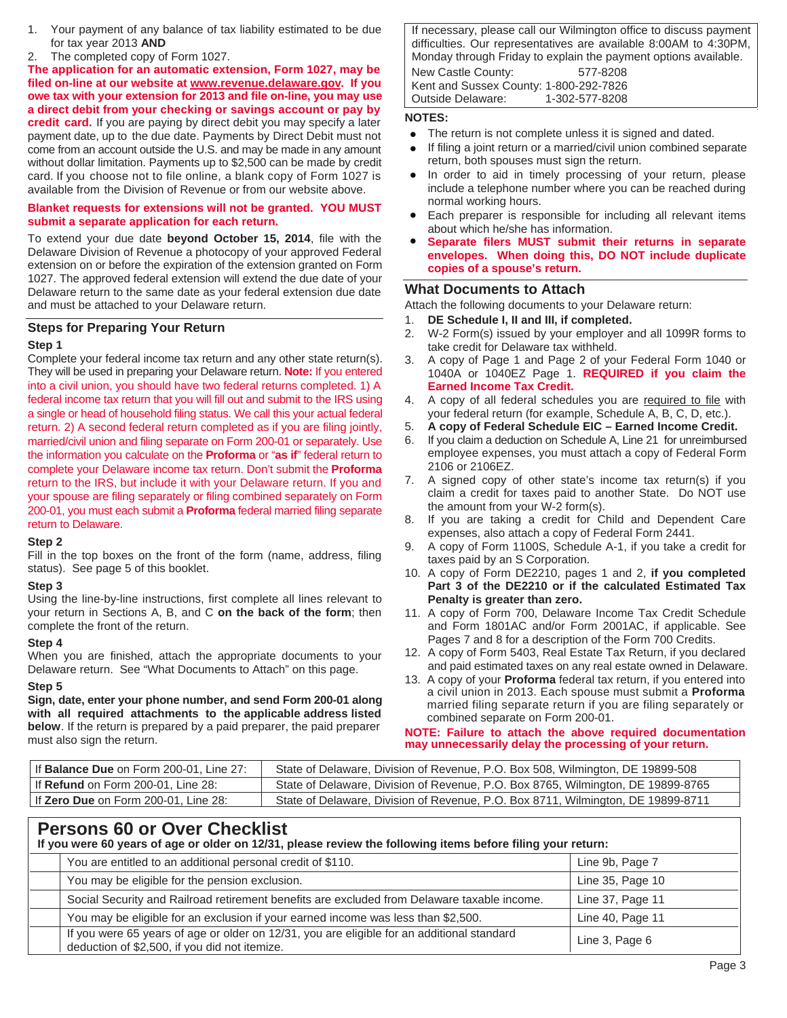- 1. Your payment of any balance of tax liability estimated to be due for tax year 2013 **AND**
- 2. The completed copy of Form 1027.

**The application for an automatic extension, Form 1027, may be filed on-line at our website at www.revenue.delaware.gov. If you owe tax with your extension for 2013 and file on-line, you may use a direct debit from your checking or savings account or pay by credit card.** If you are paying by direct debit you may specify a later payment date, up to the due date. Payments by Direct Debit must not come from an account outside the U.S. and may be made in any amount without dollar limitation. Payments up to \$2,500 can be made by credit card. If you choose not to file online, a blank copy of Form 1027 is available from the Division of Revenue or from our website above.

### **Blanket requests for extensions will not be granted. YOU MUST submit a separate application for each return.**

To extend your due date **beyond October 15, 2014**, file with the Delaware Division of Revenue a photocopy of your approved Federal extension on or before the expiration of the extension granted on Form 1027. The approved federal extension will extend the due date of your Delaware return to the same date as your federal extension due date and must be attached to your Delaware return.

### **Steps for Preparing Your Return**

#### **Step 1**

Complete your federal income tax return and any other state return(s). They will be used in preparing your Delaware return. **Note:** If you entered into a civil union, you should have two federal returns completed. 1) A federal income tax return that you will fill out and submit to the IRS using a single or head of household filing status. We call this your actual federal return. 2) A second federal return completed as if you are filing jointly, married/civil union and filing separate on Form 200-01 or separately. Use the information you calculate on the **Proforma** or "**as if**" federal return to complete your Delaware income tax return. Don't submit the **Proforma** return to the IRS, but include it with your Delaware return. If you and your spouse are filing separately or filing combined separately on Form 200-01, you must each submit a **Proforma** federal married filing separate return to Delaware.

#### **Step 2**

Fill in the top boxes on the front of the form (name, address, filing status). See page 5 of this booklet.

### **Step 3**

Using the line-by-line instructions, first complete all lines relevant to your return in Sections A, B, and C **on the back of the form**; then complete the front of the return.

#### **Step 4**

When you are finished, attach the appropriate documents to your Delaware return. See "What Documents to Attach" on this page.

#### **Step 5**

**Sign, date, enter your phone number, and send Form 200-01 along with all required attachments to the applicable address listed below**. If the return is prepared by a paid preparer, the paid preparer must also sign the return.

If necessary, please call our Wilmington office to discuss payment difficulties. Our representatives are available 8:00AM to 4:30PM, Monday through Friday to explain the payment options available. New Castle County: 577-8208 Kent and Sussex County: 1-800-292-7826 Outside Delaware:

#### **NOTES:**

- The return is not complete unless it is signed and dated. •
- If filing a joint return or a married/civil union combined separate return, both spouses must sign the return. •
- In order to aid in timely processing of your return, please include a telephone number where you can be reached during normal working hours. •
- Each preparer is responsible for including all relevant items about which he/she has information.
- **Separate filers MUST submit their returns in separate envelopes. When doing this, DO NOT include duplicate copies of a spouse's return.** •

### **What Documents to Attach**

Attach the following documents to your Delaware return:

- 1. **DE Schedule I, II and III, if completed.**
- 2. W-2 Form(s) issued by your employer and all 1099R forms to take credit for Delaware tax withheld.
- 3. A copy of Page 1 and Page 2 of your Federal Form 1040 or 1040A or 1040EZ Page 1. **REQUIRED if you claim the Earned Income Tax Credit.**
- 4. A copy of all federal schedules you are required to file with your federal return (for example, Schedule A, B, C, D, etc.).
- 5. **A copy of Federal Schedule EIC Earned Income Credit.**
- 6. If you claim a deduction on Schedule A, Line 21 for unreimbursed employee expenses, you must attach a copy of Federal Form 2106 or 2106EZ.
- 7. A signed copy of other state's income tax return(s) if you claim a credit for taxes paid to another State. Do NOT use the amount from your W-2 form(s).
- 8. If you are taking a credit for Child and Dependent Care expenses, also attach a copy of Federal Form 2441.
- 9. A copy of Form 1100S, Schedule A-1, if you take a credit for taxes paid by an S Corporation.
- 10. A copy of Form DE2210, pages 1 and 2, **if you completed Part 3 of the DE2210 or if the calculated Estimated Tax Penalty is greater than zero.**
- 11. A copy of Form 700, Delaware Income Tax Credit Schedule and Form 1801AC and/or Form 2001AC, if applicable. See Pages 7 and 8 for a description of the Form 700 Credits.
- 12. A copy of Form 5403, Real Estate Tax Return, if you declared and paid estimated taxes on any real estate owned in Delaware.
- 13. A copy of your **Proforma** federal tax return, if you entered into a civil union in 2013. Each spouse must submit a **Proforma** married filing separate return if you are filing separately or combined separate on Form 200-01.

#### **NOTE: Failure to attach the above required documentation may unnecessarily delay the processing of your return.**

| If <b>Balance Due</b> on Form 200-01, Line 27: | State of Delaware, Division of Revenue, P.O. Box 508, Wilmington, DE 19899-508   |
|------------------------------------------------|----------------------------------------------------------------------------------|
| If Refund on Form 200-01, Line 28:             | State of Delaware, Division of Revenue, P.O. Box 8765, Wilmington, DE 19899-8765 |
| If Zero Due on Form 200-01, Line 28:           | State of Delaware, Division of Revenue, P.O. Box 8711, Wilmington, DE 19899-8711 |

## **Persons 60 or Over Checklist**

**If you were 60 years of age or older on 12/31, please review the following items before filing your return:** 

| You are entitled to an additional personal credit of \$110.                                                                                 | Line 9b, Page 7  |
|---------------------------------------------------------------------------------------------------------------------------------------------|------------------|
| You may be eligible for the pension exclusion.                                                                                              | Line 35, Page 10 |
| Social Security and Railroad retirement benefits are excluded from Delaware taxable income.                                                 | Line 37, Page 11 |
| You may be eligible for an exclusion if your earned income was less than \$2,500.                                                           | Line 40, Page 11 |
| If you were 65 years of age or older on 12/31, you are eligible for an additional standard<br>deduction of \$2,500, if you did not itemize. | Line 3, Page 6   |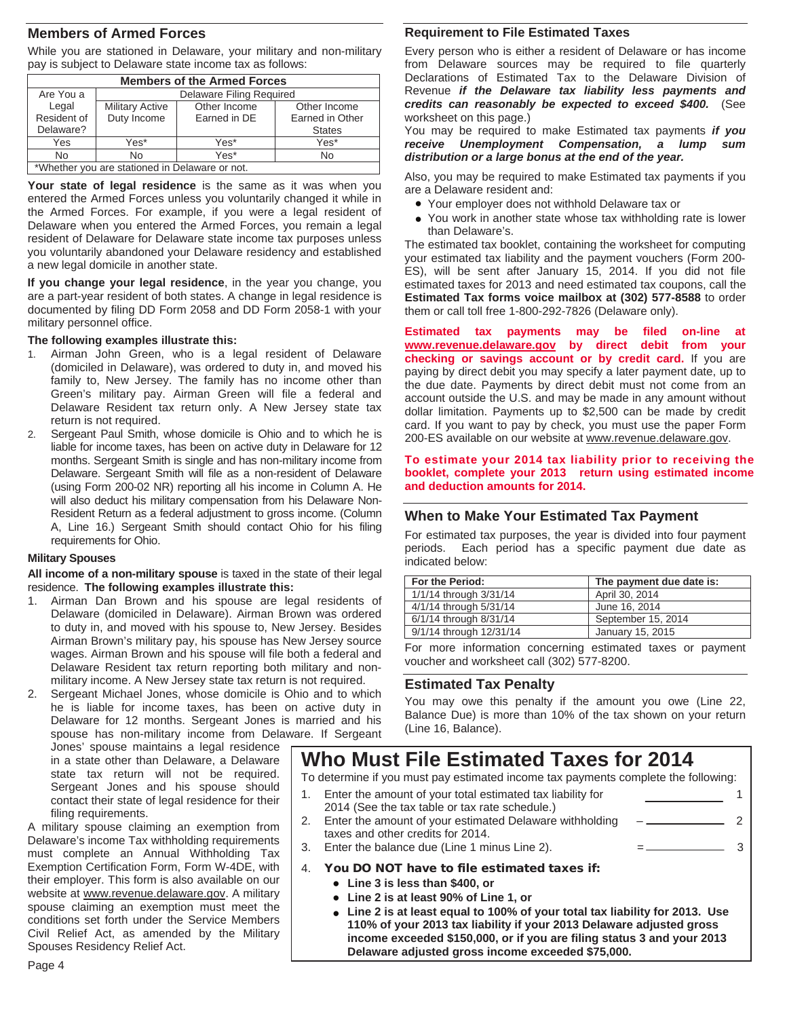## **Members of Armed Forces**

While you are stationed in Delaware, your military and non-military pay is subject to Delaware state income tax as follows:

| <b>Members of the Armed Forces</b>             |                          |              |                 |  |  |  |
|------------------------------------------------|--------------------------|--------------|-----------------|--|--|--|
| Are You a                                      | Delaware Filing Required |              |                 |  |  |  |
| Legal                                          | <b>Military Active</b>   | Other Income | Other Income    |  |  |  |
| Resident of                                    | Duty Income              | Earned in DE | Earned in Other |  |  |  |
| Delaware?                                      | <b>States</b>            |              |                 |  |  |  |
| Yes                                            | Yes*                     | Yes*         | Yes*            |  |  |  |
| No                                             | No                       | Yes*         | <b>No</b>       |  |  |  |
| *Whether you are stationed in Delaware or not. |                          |              |                 |  |  |  |

Your state of legal residence is the same as it was when you entered the Armed Forces unless you voluntarily changed it while in the Armed Forces. For example, if you were a legal resident of Delaware when you entered the Armed Forces, you remain a legal resident of Delaware for Delaware state income tax purposes unless you voluntarily abandoned your Delaware residency and established a new legal domicile in another state.

**If you change your legal residence**, in the year you change, you are a part-year resident of both states. A change in legal residence is documented by filing DD Form 2058 and DD Form 2058-1 with your military personnel office.

#### **The following examples illustrate this:**

- 1. Airman John Green, who is a legal resident of Delaware (domiciled in Delaware), was ordered to duty in, and moved his family to, New Jersey. The family has no income other than Green's military pay. Airman Green will file a federal and Delaware Resident tax return only. A New Jersey state tax return is not required.
- 2. Sergeant Paul Smith, whose domicile is Ohio and to which he is liable for income taxes, has been on active duty in Delaware for 12 months. Sergeant Smith is single and has non-military income from Delaware. Sergeant Smith will file as a non-resident of Delaware (using Form 200-02 NR) reporting all his income in Column A. He will also deduct his military compensation from his Delaware Non-Resident Return as a federal adjustment to gross income. (Column A, Line 16.) Sergeant Smith should contact Ohio for his filing requirements for Ohio.

#### **Military Spouses**

**All income of a non-military spouse** is taxed in the state of their legal residence. **The following examples illustrate this:** 

- 1. Airman Dan Brown and his spouse are legal residents of Delaware (domiciled in Delaware). Airman Brown was ordered to duty in, and moved with his spouse to, New Jersey. Besides Airman Brown's military pay, his spouse has New Jersey source wages. Airman Brown and his spouse will file both a federal and Delaware Resident tax return reporting both military and nonmilitary income. A New Jersey state tax return is not required.
- 2. Sergeant Michael Jones, whose domicile is Ohio and to which he is liable for income taxes, has been on active duty in Delaware for 12 months. Sergeant Jones is married and his spouse has non-military income from Delaware. If Sergeant

Jones' spouse maintains a legal residence in a state other than Delaware, a Delaware state tax return will not be required. Sergeant Jones and his spouse should contact their state of legal residence for their filing requirements.

A military spouse claiming an exemption from Delaware's income Tax withholding requirements must complete an Annual Withholding Tax Exemption Certification Form, Form W-4DE, with their employer. This form is also available on our website at www.revenue.delaware.gov. A military spouse claiming an exemption must meet the conditions set forth under the Service Members Civil Relief Act, as amended by the Military Spouses Residency Relief Act.

#### **Requirement to File Estimated Taxes**

Every person who is either a resident of Delaware or has income from Delaware sources may be required to file quarterly Declarations of Estimated Tax to the Delaware Division of Revenue *if the Delaware tax liability less payments and credits can reasonably be expected to exceed \$400.* (See worksheet on this page.)

You may be required to make Estimated tax payments *if you receive Unemployment Compensation, a lump sum distribution or a large bonus at the end of the year.*

Also, you may be required to make Estimated tax payments if you are a Delaware resident and:

- Your employer does not withhold Delaware tax or •
- You work in another state whose tax withholding rate is lower than Delaware's.

The estimated tax booklet, containing the worksheet for computing your estimated tax liability and the payment vouchers (Form 200- ES), will be sent after January 15, 2014. If you did not file estimated taxes for 2013 and need estimated tax coupons, call the **Estimated Tax forms voice mailbox at (302) 577-8588** to order them or call toll free 1-800-292-7826 (Delaware only).

**Estimated tax payments may be filed on-line at www.revenue.delaware.gov by direct debit from your checking or savings account or by credit card.** If you are paying by direct debit you may specify a later payment date, up to the due date. Payments by direct debit must not come from an account outside the U.S. and may be made in any amount without dollar limitation. Payments up to \$2,500 can be made by credit card. If you want to pay by check, you must use the paper Form 200-ES available on our website at www.revenue.delaware.gov.

#### **To estimate your 2014 tax liability prior to receiving the booklet, complete your 2013 return using estimated income and deduction amounts for 2014.**

### **When to Make Your Estimated Tax Payment**

For estimated tax purposes, the year is divided into four payment periods. Each period has a specific payment due date as indicated below:

| For the Period:         | The payment due date is: |
|-------------------------|--------------------------|
| 1/1/14 through 3/31/14  | April 30, 2014           |
| 4/1/14 through 5/31/14  | June 16, 2014            |
| 6/1/14 through 8/31/14  | September 15, 2014       |
| 9/1/14 through 12/31/14 | January 15, 2015         |

For more information concerning estimated taxes or payment voucher and worksheet call (302) 577-8200.

### **Estimated Tax Penalty**

You may owe this penalty if the amount you owe (Line 22, Balance Due) is more than 10% of the tax shown on your return (Line 16, Balance).

 $1$  and  $1$ 

# **Who Must File Estimated Taxes for 2014**

To determine if you must pay estimated income tax payments complete the following:

- 1. Enter the amount of your total estimated tax liability for 2014 (See the tax table or tax rate schedule.)
	- Enter the amount of your estimated Delaware withholding taxes and other credits for 2014. – 2
- Enter the balance due (Line 1 minus Line 2).  $=$   $=$  3
- 4. You DO NOT have to file estimated taxes if:
	- **Line 3 is less than \$400, or**  •
	- **Line 2 is at least 90% of Line 1, or**  •
	- **Line 2 is at least equal to 100% of your total tax liability for 2013. Use**  •**110% of your 2013 tax liability if your 2013 Delaware adjusted gross income exceeded \$150,000, or if you are filing status 3 and your 2013 Delaware adjusted gross income exceeded \$75,000.**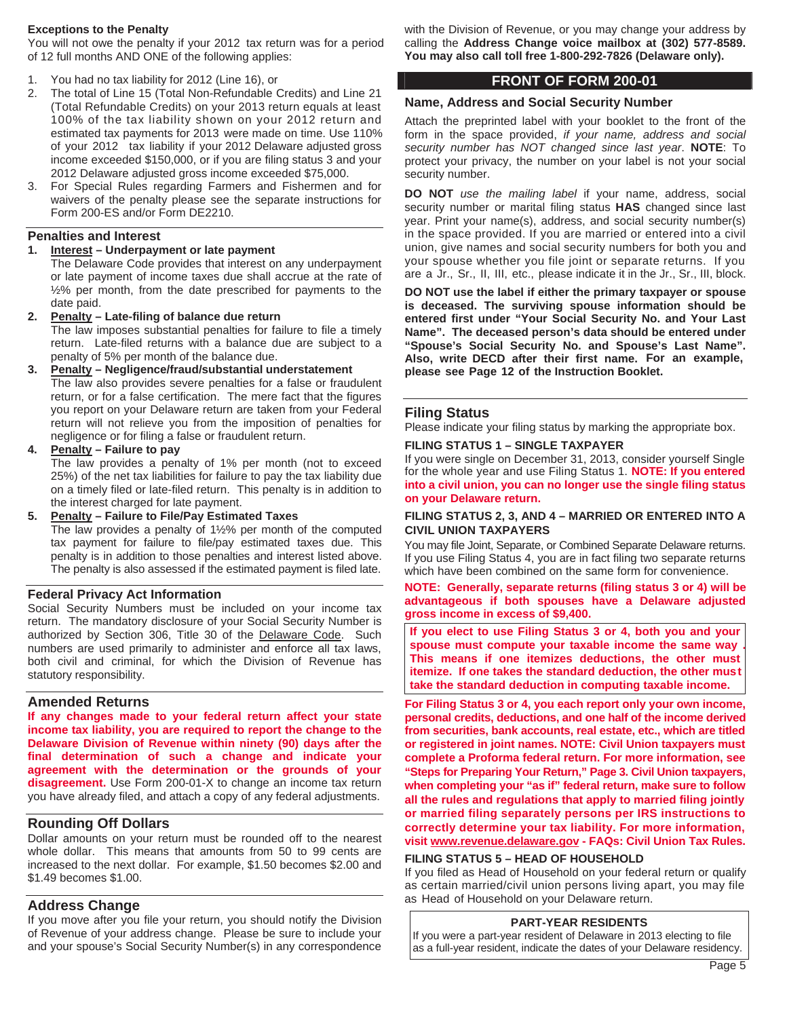#### **Exceptions to the Penalty**

You will not owe the penalty if your 2012 tax return was for a period of 12 full months AND ONE of the following applies:

- You had no tax liability for 2012 (Line 16), or
- 2. The total of Line 15 (Total Non-Refundable Credits) and Line 21 (Total Refundable Credits) on your 2013 return equals at least 100% of the tax liability shown on your 2012 return and estimated tax payments for 2013 were made on time. Use 110% of your 2012 tax liability if your 2012 Delaware adjusted gross income exceeded \$150,000, or if you are filing status 3 and your 2012 Delaware adjusted gross income exceeded \$75,000.
- 3. For Special Rules regarding Farmers and Fishermen and for waivers of the penalty please see the separate instructions for Form 200-ES and/or Form DE2210.

#### **Penalties and Interest**

**1. Interest – Underpayment or late payment** 

The Delaware Code provides that interest on any underpayment or late payment of income taxes due shall accrue at the rate of ½% per month, from the date prescribed for payments to the date paid.

- **Penalty Late-filing of balance due return** The law imposes substantial penalties for failure to file a timely return. Late-filed returns with a balance due are subject to a penalty of 5% per month of the balance due.
- **3. Penalty Negligence/fraud/substantial understatement**  The law also provides severe penalties for a false or fraudulent return, or for a false certification. The mere fact that the figures you report on your Delaware return are taken from your Federal return will not relieve you from the imposition of penalties for negligence or for filing a false or fraudulent return.
- **4. Penalty Failure to pay**

The law provides a penalty of 1% per month (not to exceed 25%) of the net tax liabilities for failure to pay the tax liability due on a timely filed or late-filed return. This penalty is in addition to the interest charged for late payment.

**5. Penalty – Failure to File/Pay Estimated Taxes** The law provides a penalty of 1½% per month of the computed tax payment for failure to file/pay estimated taxes due. This penalty is in addition to those penalties and interest listed above. The penalty is also assessed if the estimated payment is filed late.

#### **Federal Privacy Act Information**

Social Security Numbers must be included on your income tax return. The mandatory disclosure of your Social Security Number is authorized by Section 306, Title 30 of the Delaware Code. Such numbers are used primarily to administer and enforce all tax laws, both civil and criminal, for which the Division of Revenue has statutory responsibility.

#### **Amended Returns**

**If any changes made to your federal return affect your state income tax liability, you are required to report the change to the Delaware Division of Revenue within ninety (90) days after the final determination of such a change and indicate your agreement with the determination or the grounds of your disagreement.** Use Form 200-01-X to change an income tax return you have already filed, and attach a copy of any federal adjustments.

### **Rounding Off Dollars**

Dollar amounts on your return must be rounded off to the nearest whole dollar. This means that amounts from 50 to 99 cents are increased to the next dollar. For example, \$1.50 becomes \$2.00 and \$1.49 becomes \$1.00.

### **Address Change**

If you move after you file your return, you should notify the Division of Revenue of your address change. Please be sure to include your and your spouse's Social Security Number(s) in any correspondence

with the Division of Revenue, or you may change your address by calling the **Address Change voice mailbox at (302) 577-8589. You may also call toll free 1-800-292-7826 (Delaware only).** 

## **FRONT OF FORM 200-01**

### **Name, Address and Social Security Number**

Attach the preprinted label with your booklet to the front of the form in the space provided, *if your name, address and social security number has NOT changed since last year*. **NOTE**: To protect your privacy, the number on your label is not your social security number.

**DO NOT** *use the mailing label* if your name, address, social security number or marital filing status **HAS** changed since last year. Print your name(s), address, and social security number(s) in the space provided. If you are married or entered into a civil union, give names and social security numbers for both you and your spouse whether you file joint or separate returns. If you are a Jr., Sr., II, III, etc., please indicate it in the Jr., Sr., III, block.

**DO NOT use the label if either the primary taxpayer or spouse is deceased. The surviving spouse information should be entered first under "Your Social Security No. and Your Last Name". The deceased person's data should be entered under "Spouse's Social Security No. and Spouse's Last Name".**  Also, write DECD after their first name. For an example, **please see Page 12 of the Instruction Booklet.** 

### **Filing Status**

Please indicate your filing status by marking the appropriate box.

#### **FILING STATUS 1 – SINGLE TAXPAYER**

If you were single on December 31, 2013, consider yourself Single for the whole year and use Filing Status 1. **NOTE: If you entered into a civil union, you can no longer use the single filing status on your Delaware return.** 

#### **FILING STATUS 2, 3, AND 4 – MARRIED OR ENTERED INTO A CIVIL UNION TAXPAYERS**

You may file Joint, Separate, or Combined Separate Delaware returns. If you use Filing Status 4, you are in fact filing two separate returns which have been combined on the same form for convenience.

**NOTE: Generally, separate returns (filing status 3 or 4) will be advantageous if both spouses have a Delaware adjusted gross income in excess of \$9,400.** 

**If you elect to use Filing Status 3 or 4, both you and your spouse must compute your taxable income the same way . This means if one itemizes deductions, the other must itemize. If one takes the standard deduction, the other must take the standard deduction in computing taxable income.** 

**For Filing Status 3 or 4, you each report only your own income, personal credits, deductions, and one half of the income derived from securities, bank accounts, real estate, etc., which are titled or registered in joint names. NOTE: Civil Union taxpayers must complete a Proforma federal return. For more information, see "Steps for Preparing Your Return," Page 3. Civil Union taxpayers, when completing your "as if" federal return, make sure to follow all the rules and regulations that apply to married filing jointly or married filing separately persons per IRS instructions to correctly determine your tax liability. For more information, visit www.revenue.delaware.gov - FAQs: Civil Union Tax Rules.** 

### **FILING STATUS 5 – HEAD OF HOUSEHOLD**

If you filed as Head of Household on your federal return or qualify as certain married/civil union persons living apart, you may file as Head of Household on your Delaware return.

#### **PART-YEAR RESIDENTS**

If you were a part-year resident of Delaware in 2013 electing to file as a full-year resident, indicate the dates of your Delaware residency.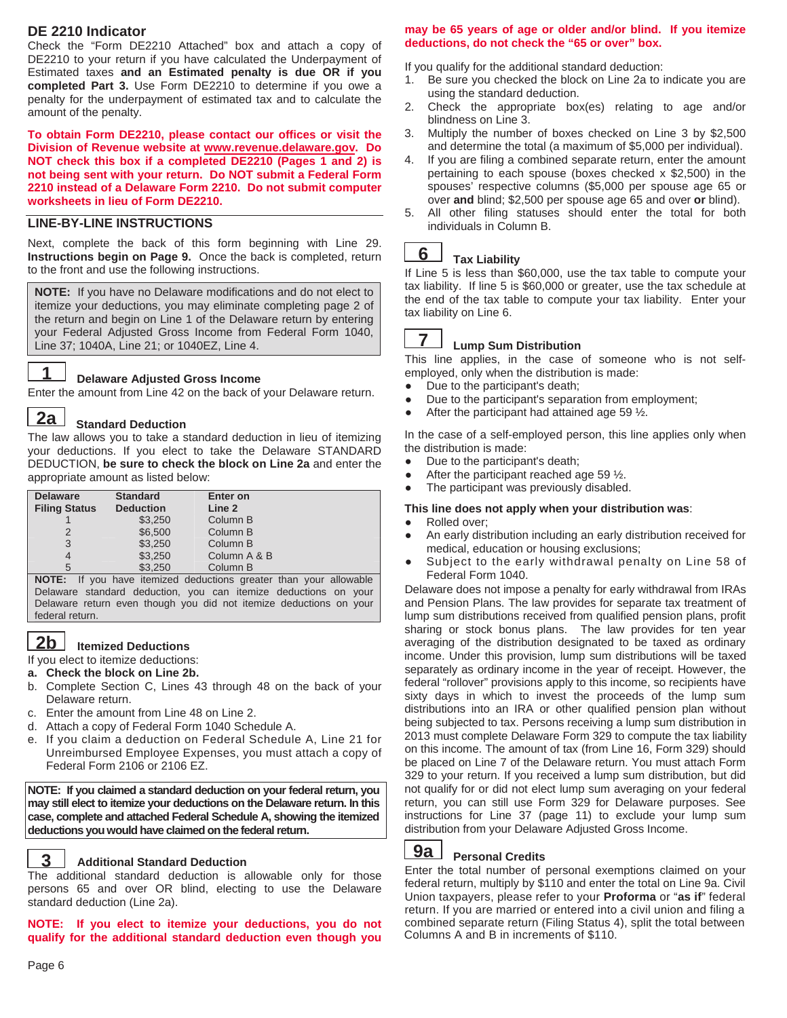## **DE 2210 Indicator**

Check the "Form DE2210 Attached" box and attach a copy of DE2210 to your return if you have calculated the Underpayment of Estimated taxes **and an Estimated penalty is due OR if you completed Part 3.** Use Form DE2210 to determine if you owe a penalty for the underpayment of estimated tax and to calculate the amount of the penalty.

**To obtain Form DE2210, please contact our offices or visit the Division of Revenue website at www.revenue.delaware.gov. Do NOT check this box if a completed DE2210 (Pages 1 and 2) is not being sent with your return. Do NOT submit a Federal Form 2210 instead of a Delaware Form 2210. Do not submit computer worksheets in lieu of Form DE2210.** 

### **LINE-BY-LINE INSTRUCTIONS**

Next, complete the back of this form beginning with Line 29. **Instructions begin on Page 9.** Once the back is completed, return to the front and use the following instructions.

**NOTE:** If you have no Delaware modifications and do not elect to itemize your deductions, you may eliminate completing page 2 of the return and begin on Line 1 of the Delaware return by entering your Federal Adjusted Gross Income from Federal Form 1040, Line 37; 1040A, Line 21; or 1040EZ, Line 4.



#### **Delaware Adjusted Gross Income**

Enter the amount from Line 42 on the back of your Delaware return.

#### **2a Standard Deduction**

The law allows you to take a standard deduction in lieu of itemizing your deductions. If you elect to take the Delaware STANDARD DEDUCTION, **be sure to check the block on Line 2a** and enter the appropriate amount as listed below:

| <b>Delaware</b><br><b>Filing Status</b> | <b>Standard</b><br><b>Deduction</b> | Enter on<br>Line 2 |  |
|-----------------------------------------|-------------------------------------|--------------------|--|
|                                         | \$3,250                             | Column B           |  |
|                                         | \$6.500                             | Column B           |  |
| 3                                       | \$3.250                             | Column B           |  |
| 4                                       | \$3.250                             | Column A & B       |  |
| 5                                       | \$3.250                             | Column B           |  |

**NOTE:** If you have itemized deductions greater than your allowable Delaware standard deduction, you can itemize deductions on your Delaware return even though you did not itemize deductions on your federal return.

## **2b Itemized Deductions**

If you elect to itemize deductions:

**a. Check the block on Line 2b.** 

- b. Complete Section C, Lines 43 through 48 on the back of your Delaware return.
- c. Enter the amount from Line 48 on Line 2.
- d. Attach a copy of Federal Form 1040 Schedule A.
- e. If you claim a deduction on Federal Schedule A, Line 21 for Unreimbursed Employee Expenses, you must attach a copy of Federal Form 2106 or 2106 EZ.

**NOTE: If you claimed a standard deduction on your federal return, you may still elect to itemize your deductions on the Delaware return. In this case, complete and attached Federal Schedule A, showing the itemized deductions you would have claimed on the federal return.** 

#### **Additional Standard Deduction**

The additional standard deduction is allowable only for those persons 65 and over OR blind, electing to use the Delaware standard deduction (Line 2a).

**NOTE: If you elect to itemize your deductions, you do not qualify for the additional standard deduction even though you** 

### **may be 65 years of age or older and/or blind. If you itemize deductions, do not check the "65 or over" box.**

If you qualify for the additional standard deduction:

- 1. Be sure you checked the block on Line 2a to indicate you are using the standard deduction.
- 2. Check the appropriate box(es) relating to age and/or blindness on Line 3.
- 3. Multiply the number of boxes checked on Line 3 by \$2,500 and determine the total (a maximum of \$5,000 per individual).
- 4. If you are filing a combined separate return, enter the amount pertaining to each spouse (boxes checked x \$2,500) in the spouses' respective columns (\$5,000 per spouse age 65 or over **and** blind; \$2,500 per spouse age 65 and over **or** blind).
- 5. All other filing statuses should enter the total for both individuals in Column B.

#### **Tax Liability 6**

If Line 5 is less than \$60,000, use the tax table to compute your tax liability. If line 5 is \$60,000 or greater, use the tax schedule at the end of the tax table to compute your tax liability. Enter your tax liability on Line 6.

#### **Lump Sum Distribution 7**

This line applies, in the case of someone who is not selfemployed, only when the distribution is made:

- Due to the participant's death;
- Due to the participant's separation from employment;
- After the participant had attained age 59  $\frac{1}{2}$ .

In the case of a self-employed person, this line applies only when the distribution is made:

- Due to the participant's death;
- After the participant reached age 59  $\frac{1}{2}$ .
- The participant was previously disabled.

#### **This line does not apply when your distribution was**:

#### • Rolled over;

- An early distribution including an early distribution received for medical, education or housing exclusions;
- Subject to the early withdrawal penalty on Line 58 of Federal Form 1040.

Delaware does not impose a penalty for early withdrawal from IRAs and Pension Plans. The law provides for separate tax treatment of lump sum distributions received from qualified pension plans, profit sharing or stock bonus plans. The law provides for ten year averaging of the distribution designated to be taxed as ordinary income. Under this provision, lump sum distributions will be taxed separately as ordinary income in the year of receipt. However, the federal "rollover" provisions apply to this income, so recipients have sixty days in which to invest the proceeds of the lump sum distributions into an IRA or other qualified pension plan without being subjected to tax. Persons receiving a lump sum distribution in 2013 must complete Delaware Form 329 to compute the tax liability on this income. The amount of tax (from Line 16, Form 329) should be placed on Line 7 of the Delaware return. You must attach Form 329 to your return. If you received a lump sum distribution, but did not qualify for or did not elect lump sum averaging on your federal return, you can still use Form 329 for Delaware purposes. See instructions for Line 37 (page 11) to exclude your lump sum distribution from your Delaware Adjusted Gross Income.



## **Personal Credits 9a**

Enter the total number of personal exemptions claimed on your federal return, multiply by \$110 and enter the total on Line 9a. Civil Union taxpayers, please refer to your **Proforma** or "**as if**" federal return. If you are married or entered into a civil union and filing a combined separate return (Filing Status 4), split the total between Columns A and B in increments of \$110.

**3**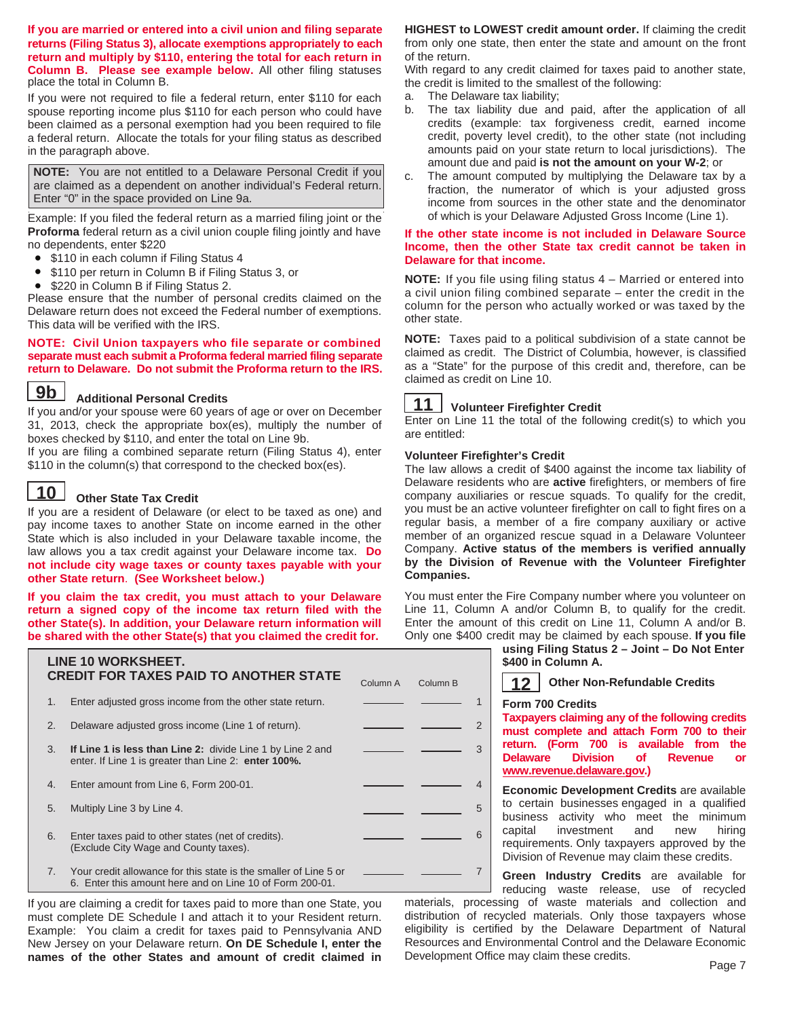**If you are married or entered into a civil union and filing separate returns (Filing Status 3), allocate exemptions appropriately to each return and multiply by \$110, entering the total for each return in Column B. Please see example below.** All other filing statuses place the total in Column B.

If you were not required to file a federal return, enter \$110 for each spouse reporting income plus \$110 for each person who could have been claimed as a personal exemption had you been required to file a federal return. Allocate the totals for your filing status as described in the paragraph above.

**NOTE:** You are not entitled to a Delaware Personal Credit if you are claimed as a dependent on another individual's Federal return. Enter "0" in the space provided on Line 9a.

Example: If you filed the federal return as a married filing joint or the **Proforma** federal return as a civil union couple filing jointly and have no dependents, enter \$220

- \$110 in each column if Filing Status 4
- \$110 per return in Column B if Filing Status 3, or
- \$220 in Column B if Filing Status 2.

Please ensure that the number of personal credits claimed on the Delaware return does not exceed the Federal number of exemptions. This data will be verified with the IRS.

#### **NOTE: Civil Union taxpayers who file separate or combined separate must each submit a Proforma federal married filing separate return to Delaware. Do not submit the Proforma return to the IRS.**

### **Additional Personal Credits**

**9b** Additional Personal Credits<br>If you and/or your spouse were 60 years of age or over on December 31, 2013, check the appropriate box(es), multiply the number of boxes checked by \$110, and enter the total on Line 9b.

If you are filing a combined separate return (Filing Status 4), enter \$110 in the column(s) that correspond to the checked box(es).

#### **10 Other State Tax Credit**

If you are a resident of Delaware (or elect to be taxed as one) and pay income taxes to another State on income earned in the other State which is also included in your Delaware taxable income, the law allows you a tax credit against your Delaware income tax. **Do not include city wage taxes or county taxes payable with your other State return**. **(See Worksheet below.)** 

**If you claim the tax credit, you must attach to your Delaware return a signed copy of the income tax return filed with the other State(s). In addition, your Delaware return information will be shared with the other State(s) that you claimed the credit for.** 

|    | LINE 10 WORKSHEET.<br><b>CREDIT FOR TAXES PAID TO ANOTHER STATE</b>                                                          | Column A | Column B |                |
|----|------------------------------------------------------------------------------------------------------------------------------|----------|----------|----------------|
| 1. | Enter adjusted gross income from the other state return.                                                                     |          |          |                |
| 2. | Delaware adjusted gross income (Line 1 of return).                                                                           |          |          | $\overline{2}$ |
| 3. | If Line 1 is less than Line 2: divide Line 1 by Line 2 and<br>enter. If Line 1 is greater than Line 2: enter 100%.           |          |          | 3              |
| 4. | Enter amount from Line 6, Form 200-01.                                                                                       |          |          |                |
| 5. | Multiply Line 3 by Line 4.                                                                                                   |          |          | 5              |
| 6. | Enter taxes paid to other states (net of credits).<br>(Exclude City Wage and County taxes).                                  |          |          | 6              |
| 7. | Your credit allowance for this state is the smaller of Line 5 or<br>6. Enter this amount here and on Line 10 of Form 200-01. |          |          |                |

If you are claiming a credit for taxes paid to more than one State, you must complete DE Schedule I and attach it to your Resident return. Example: You claim a credit for taxes paid to Pennsylvania AND New Jersey on your Delaware return. **On DE Schedule I, enter the names of the other States and amount of credit claimed in** 

**HIGHEST to LOWEST credit amount order.** If claiming the credit from only one state, then enter the state and amount on the front of the return.

With regard to any credit claimed for taxes paid to another state, the credit is limited to the smallest of the following:

- a. The Delaware tax liability;
- b. The tax liability due and paid, after the application of all credits (example: tax forgiveness credit, earned income credit, poverty level credit), to the other state (not including amounts paid on your state return to local jurisdictions). The amount due and paid **is not the amount on your W-2**; or
- c. The amount computed by multiplying the Delaware tax by a fraction, the numerator of which is your adjusted gross income from sources in the other state and the denominator of which is your Delaware Adjusted Gross Income (Line 1).

#### **If the other state income is not included in Delaware Source Income, then the other State tax credit cannot be taken in Delaware for that income.**

**NOTE:** If you file using filing status 4 – Married or entered into a civil union filing combined separate – enter the credit in the column for the person who actually worked or was taxed by the other state.

**NOTE:** Taxes paid to a political subdivision of a state cannot be claimed as credit. The District of Columbia, however, is classified as a "State" for the purpose of this credit and, therefore, can be claimed as credit on Line 10.



### **Volunteer Firefighter Credit**

Enter on Line 11 the total of the following credit(s) to which you are entitled:

#### **Volunteer Firefighter's Credit**

7

The law allows a credit of \$400 against the income tax liability of Delaware residents who are **active** firefighters, or members of fire company auxiliaries or rescue squads. To qualify for the credit, you must be an active volunteer firefighter on call to fight fires on a regular basis, a member of a fire company auxiliary or active member of an organized rescue squad in a Delaware Volunteer Company. **Active status of the members is verified annually by the Division of Revenue with the Volunteer Firefighter Companies.** 

You must enter the Fire Company number where you volunteer on Line 11, Column A and/or Column B, to qualify for the credit. Enter the amount of this credit on Line 11, Column A and/or B. Only one \$400 credit may be claimed by each spouse. **If you file** 

**using Filing Status 2 – Joint – Do Not Enter \$400 in Column A.** 

| 12 Other Non-Refundable Credits |
|---------------------------------|
|                                 |

#### **Form 700 Credits**

**Taxpayers claiming any of the following credits must complete and attach Form 700 to their return. (Form 700 is available from the Revenue** or **www.revenue.delaware.gov.)**

**Economic Development Credits** are available to certain businesses engaged in a qualified business activity who meet the minimum capital investment and new hiring requirements. Only taxpayers approved by the Division of Revenue may claim these credits.

**Green Industry Credits** are available for reducing waste release, use of recycled

materials, processing of waste materials and collection and distribution of recycled materials. Only those taxpayers whose eligibility is certified by the Delaware Department of Natural Resources and Environmental Control and the Delaware Economic Development Office may claim these credits.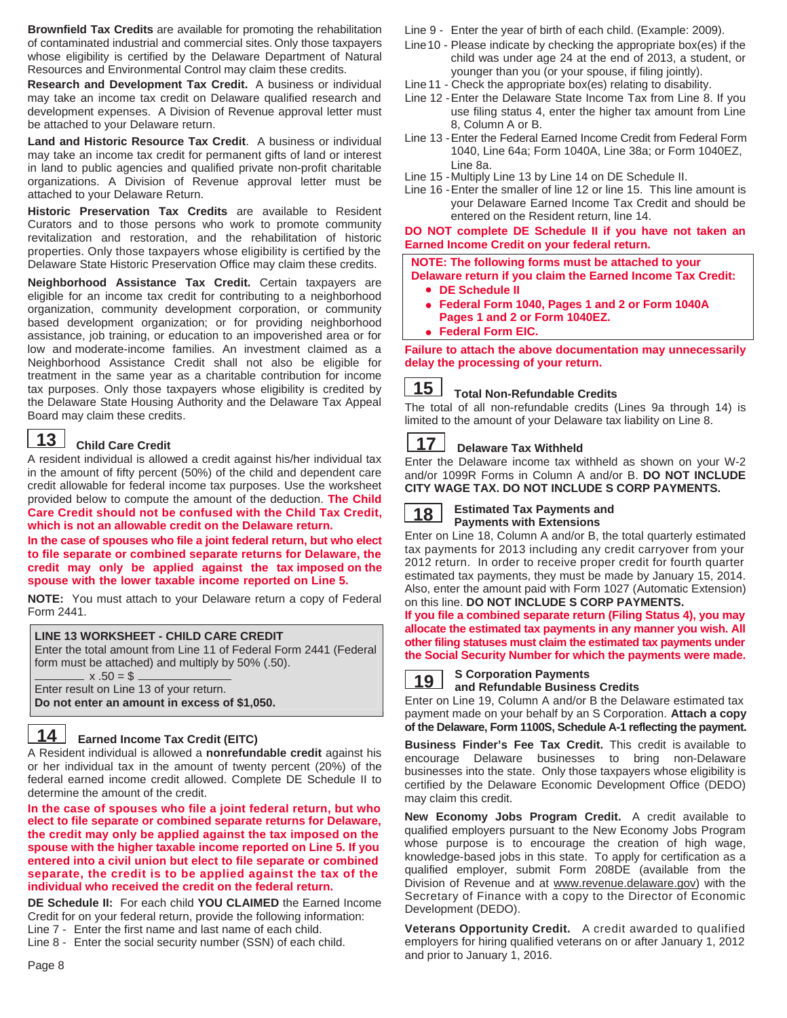**Brownfield Tax Credits** are available for promoting the rehabilitation of contaminated industrial and commercial sites. Only those taxpayers whose eligibility is certified by the Delaware Department of Natural Resources and Environmental Control may claim these credits.

**Research and Development Tax Credit.** A business or individual may take an income tax credit on Delaware qualified research and development expenses. A Division of Revenue approval letter must be attached to your Delaware return.

**Land and Historic Resource Tax Credit**. A business or individual may take an income tax credit for permanent gifts of land or interest in land to public agencies and qualified private non-profit charitable organizations. A Division of Revenue approval letter must be attached to your Delaware Return.

**Historic Preservation Tax Credits** are available to Resident Curators and to those persons who work to promote community revitalization and restoration, and the rehabilitation of historic properties. Only those taxpayers whose eligibility is certified by the Delaware State Historic Preservation Office may claim these credits.

**Neighborhood Assistance Tax Credit.** Certain taxpayers are eligible for an income tax credit for contributing to a neighborhood organization, community development corporation, or community based development organization; or for providing neighborhood assistance, job training, or education to an impoverished area or for low and moderate-income families. An investment claimed as a Neighborhood Assistance Credit shall not also be eligible for treatment in the same year as a charitable contribution for income tax purposes. Only those taxpayers whose eligibility is credited by the Delaware State Housing Authority and the Delaware Tax Appeal Board may claim these credits.

#### **Child Care Credit 13**

A resident individual is allowed a credit against his/her individual tax in the amount of fifty percent (50%) of the child and dependent care credit allowable for federal income tax purposes. Use the worksheet provided below to compute the amount of the deduction. **The Child Care Credit should not be confused with the Child Tax Credit, which is not an allowable credit on the Delaware return.** 

**In the case of spouses who file a joint federal return, but who elect to file separate or combined separate returns for Delaware, the credit may only be applied against the tax imposed on the spouse with the lower taxable income reported on Line 5.** 

**NOTE:** You must attach to your Delaware return a copy of Federal Form 2441.

#### **LINE 13 WORKSHEET - CHILD CARE CREDIT**

Enter the total amount from Line 11 of Federal Form 2441 (Federal form must be attached) and multiply by 50% (.50).

 $x .50 = $$ 

Enter result on Line 13 of your return.

**Do not enter an amount in excess of \$1,050.** 

#### **14 Earned Income Tax Credit (EITC)**

A Resident individual is allowed a **nonrefundable credit** against his or her individual tax in the amount of twenty percent (20%) of the federal earned income credit allowed. Complete DE Schedule II to determine the amount of the credit.

**In the case of spouses who file a joint federal return, but who elect to file separate or combined separate returns for Delaware, the credit may only be applied against the tax imposed on the spouse with the higher taxable income reported on Line 5. If you entered into a civil union but elect to file separate or combined separate, the credit is to be applied against the tax of the individual who received the credit on the federal return.**

**DE Schedule II:** For each child **YOU CLAIMED** the Earned Income Credit for on your federal return, provide the following information: Line 7 - Enter the first name and last name of each child.

Line 8 - Enter the social security number (SSN) of each child.

Line 9 - Enter the year of birth of each child. (Example: 2009).

- Line10 Please indicate by checking the appropriate box(es) if the child was under age 24 at the end of 2013, a student, or younger than you (or your spouse, if filing jointly).
- Line 11 Check the appropriate box(es) relating to disability.
- Line 12 Enter the Delaware State Income Tax from Line 8. If you use filing status 4, enter the higher tax amount from Line 8, Column A or B.
- Line 13 Enter the Federal Earned Income Credit from Federal Form 1040, Line 64a; Form 1040A, Line 38a; or Form 1040EZ, Line 8a.
- Line 15 Multiply Line 13 by Line 14 on DE Schedule II.
- Line 16 Enter the smaller of line 12 or line 15. This line amount is your Delaware Earned Income Tax Credit and should be entered on the Resident return, line 14.

**DO NOT complete DE Schedule II if you have not taken an Earned Income Credit on your federal return.** 

 **NOTE: The following forms must be attached to your Delaware return if you claim the Earned Income Tax Credit:** 

- **DE Schedule II**  •
- **Federal Form 1040, Pages 1 and 2 or Form 1040A Pages 1 and 2 or Form 1040EZ.**
- **Federal Form EIC.**  •

**Failure to attach the above documentation may unnecessarily delay the processing of your return.** 

#### **Total Non-Refundable Credits 15**

The total of all non-refundable credits (Lines 9a through 14) is limited to the amount of your Delaware tax liability on Line 8.

#### **Delaware Tax Withheld 17**

Enter the Delaware income tax withheld as shown on your W-2 and/or 1099R Forms in Column A and/or B. **DO NOT INCLUDE CITY WAGE TAX. DO NOT INCLUDE S CORP PAYMENTS.** 

### **18 Estimated Tax Payments and**

**Payments with Extensions** Enter on Line 18, Column A and/or B, the total quarterly estimated

tax payments for 2013 including any credit carryover from your 2012 return. In order to receive proper credit for fourth quarter estimated tax payments, they must be made by January 15, 2014. Also, enter the amount paid with Form 1027 (Automatic Extension) on this line. **DO NOT INCLUDE S CORP PAYMENTS.**

**If you file a combined separate return (Filing Status 4), you may allocate the estimated tax payments in any manner you wish. All other filing statuses must claim the estimated tax payments under the Social Security Number for which the payments were made.**



#### **S Corporation Payments and Refundable Business Credits**

Enter on Line 19, Column A and/or B the Delaware estimated tax payment made on your behalf by an S Corporation. **Attach a copy of the Delaware, Form 1100S, Schedule A-1 reflecting the payment.** 

**Business Finder's Fee Tax Credit.** This credit is available to encourage Delaware businesses to bring non-Delaware businesses into the state. Only those taxpayers whose eligibility is certified by the Delaware Economic Development Office (DEDO) may claim this credit.

**New Economy Jobs Program Credit.** A credit available to qualified employers pursuant to the New Economy Jobs Program whose purpose is to encourage the creation of high wage, knowledge-based jobs in this state. To apply for certification as a qualified employer, submit Form 208DE (available from the Division of Revenue and at www.revenue.delaware.gov) with the Secretary of Finance with a copy to the Director of Economic Development (DEDO).

**Veterans Opportunity Credit.** A credit awarded to qualified employers for hiring qualified veterans on or after January 1, 2012 and prior to January 1, 2016.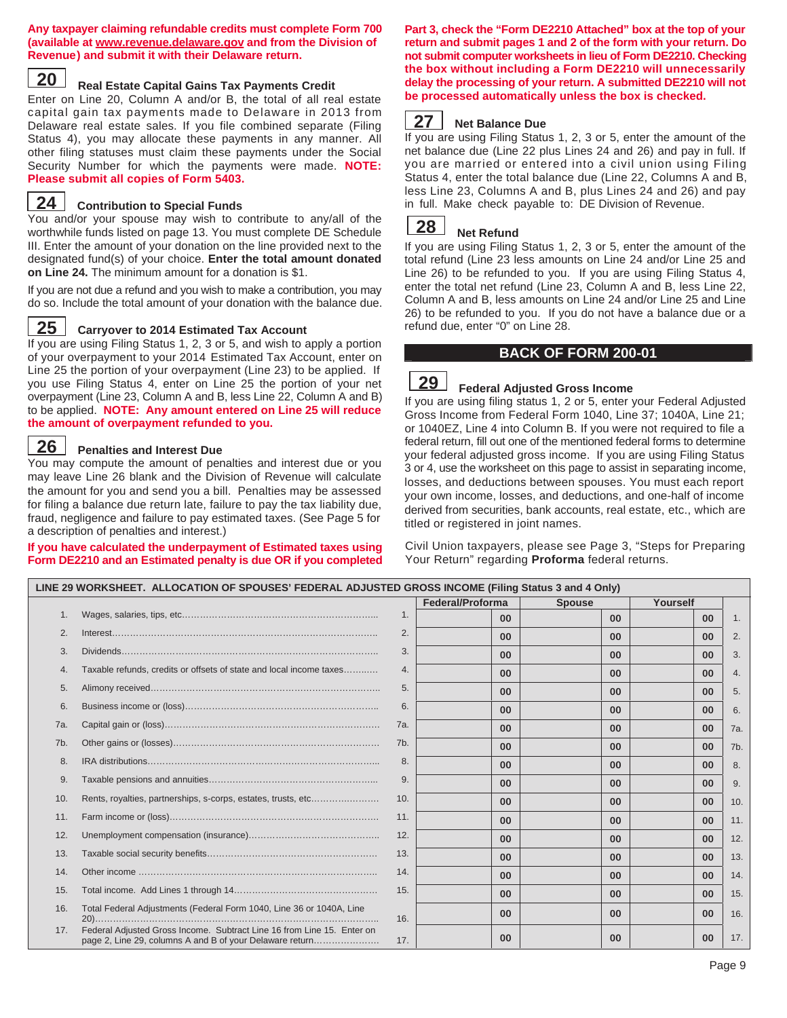#### **Any taxpayer claiming refundable credits must complete Form 700 (available at www.revenue.delaware.gov and from the Division of Revenue) and submit it with their Delaware return.**

#### **20 Real Estate Capital Gains Tax Payments Credit**

Enter on Line 20, Column A and/or B, the total of all real estate capital gain tax payments made to Delaware in 2013 from Delaware real estate sales. If you file combined separate (Filing Status 4), you may allocate these payments in any manner. All other filing statuses must claim these payments under the Social Security Number for which the payments were made. **NOTE: Please submit all copies of Form 5403.**

## **Contribution to Special Funds 24**

You and/or your spouse may wish to contribute to any/all of the worthwhile funds listed on page 13. You must complete DE Schedule III. Enter the amount of your donation on the line provided next to the designated fund(s) of your choice. **Enter the total amount donated on Line 24.** The minimum amount for a donation is \$1.

If you are not due a refund and you wish to make a contribution, you may do so. Include the total amount of your donation with the balance due.

#### **25 Carryover to 2014 Estimated Tax Account**

If you are using Filing Status 1, 2, 3 or 5, and wish to apply a portion of your overpayment to your 2014 Estimated Tax Account, enter on Line 25 the portion of your overpayment (Line 23) to be applied. If you use Filing Status 4, enter on Line 25 the portion of your net overpayment (Line 23, Column A and B, less Line 22, Column A and B) to be applied. **NOTE: Any amount entered on Line 25 will reduce the amount of overpayment refunded to you.** 

## **26 Penalties and Interest Due**

You may compute the amount of penalties and interest due or you may leave Line 26 blank and the Division of Revenue will calculate the amount for you and send you a bill. Penalties may be assessed for filing a balance due return late, failure to pay the tax liability due, fraud, negligence and failure to pay estimated taxes. (See Page 5 for a description of penalties and interest.)

#### **If you have calculated the underpayment of Estimated taxes using Form DE2210 and an Estimated penalty is due OR if you completed**

**Part 3, check the "Form DE2210 Attached" box at the top of your return and submit pages 1 and 2 of the form with your return. Do not submit computer worksheets in lieu of Form DE2210. Checking the box without including a Form DE2210 will unnecessarily delay the processing of your return. A submitted DE2210 will not be processed automatically unless the box is checked.**

#### **27 Net Balance Due**

If you are using Filing Status 1, 2, 3 or 5, enter the amount of the net balance due (Line 22 plus Lines 24 and 26) and pay in full. If you are married or entered into a civil union using Filing Status 4, enter the total balance due (Line 22, Columns A and B, less Line 23, Columns A and B, plus Lines 24 and 26) and pay in full. Make check payable to: DE Division of Revenue.

#### **Net Refund 28**

If you are using Filing Status 1, 2, 3 or 5, enter the amount of the total refund (Line 23 less amounts on Line 24 and/or Line 25 and Line 26) to be refunded to you. If you are using Filing Status 4, enter the total net refund (Line 23, Column A and B, less Line 22, Column A and B, less amounts on Line 24 and/or Line 25 and Line 26) to be refunded to you. If you do not have a balance due or a refund due, enter "0" on Line 28.

### **BACK OF FORM 200-01**

#### **Federal Adjusted Gross Income 29**

If you are using filing status 1, 2 or 5, enter your Federal Adjusted Gross Income from Federal Form 1040, Line 37; 1040A, Line 21; or 1040EZ, Line 4 into Column B. If you were not required to file a federal return, fill out one of the mentioned federal forms to determine your federal adjusted gross income. If you are using Filing Status 3 or 4, use the worksheet on this page to assist in separating income, losses, and deductions between spouses. You must each report your own income, losses, and deductions, and one-half of income derived from securities, bank accounts, real estate, etc., which are titled or registered in joint names.

Civil Union taxpayers, please see Page 3, "Steps for Preparing Your Return" regarding **Proforma** federal returns.

|     |                                                                                                                                    |     | Federal/Proforma | <b>Spouse</b>  | Yourself        |                |
|-----|------------------------------------------------------------------------------------------------------------------------------------|-----|------------------|----------------|-----------------|----------------|
| 1.  |                                                                                                                                    | 1.  | 0 <sub>0</sub>   | 0 <sub>0</sub> | 0 <sup>0</sup>  | 1 <sub>1</sub> |
| 2.  |                                                                                                                                    | 2.  | 0 <sup>0</sup>   | 0 <sup>0</sup> | $00\,$          | 2.             |
| 3.  |                                                                                                                                    | 3.  | 00               | 00             | 00              | 3.             |
| 4.  | Taxable refunds, credits or offsets of state and local income taxes                                                                | 4.  | 00               | 0 <sub>0</sub> | $00\,$          | 4.             |
| 5.  |                                                                                                                                    | 5.  | 0 <sup>0</sup>   | 0 <sup>0</sup> | $00\,$          | 5.             |
| 6.  |                                                                                                                                    | 6.  | 0 <sub>0</sub>   | 0 <sub>0</sub> | 00              | 6.             |
| 7a. |                                                                                                                                    | 7a. | 0 <sup>0</sup>   | 0 <sup>0</sup> | 0 <sup>0</sup>  | 7a.            |
| 7b. |                                                                                                                                    | 7b. | 0 <sup>0</sup>   | 00             | 00 <sup>°</sup> | 7b.            |
| 8.  |                                                                                                                                    | 8.  | 0 <sub>0</sub>   | 0 <sub>0</sub> | 0 <sup>0</sup>  | 8.             |
| 9.  |                                                                                                                                    | 9.  | 0 <sup>0</sup>   | 0 <sup>0</sup> | 0 <sup>0</sup>  | 9.             |
| 10. | Rents, royalties, partnerships, s-corps, estates, trusts, etc                                                                      | 10. | 0 <sup>0</sup>   | 0 <sub>0</sub> | 00              | 10.            |
| 11. |                                                                                                                                    | 11. | 0 <sub>0</sub>   | 0 <sub>0</sub> | 0 <sup>0</sup>  | 11.            |
| 12. |                                                                                                                                    | 12. | 00               | 00             | 00              | 12.            |
| 13. |                                                                                                                                    | 13. | 00               | 0 <sub>0</sub> | 00              | 13.            |
| 14. |                                                                                                                                    | 14. | 0 <sup>0</sup>   | 0 <sup>0</sup> | 0 <sup>0</sup>  | 14.            |
| 15. |                                                                                                                                    | 15. | 00               | 00             | 00              | 15.            |
| 16. | Total Federal Adjustments (Federal Form 1040, Line 36 or 1040A, Line                                                               | 16. | 00               | 00             | 00              | 16.            |
| 17. | Federal Adjusted Gross Income. Subtract Line 16 from Line 15. Enter on<br>page 2, Line 29, columns A and B of your Delaware return | 17. | 0 <sup>0</sup>   | 00             | 00              | 17.            |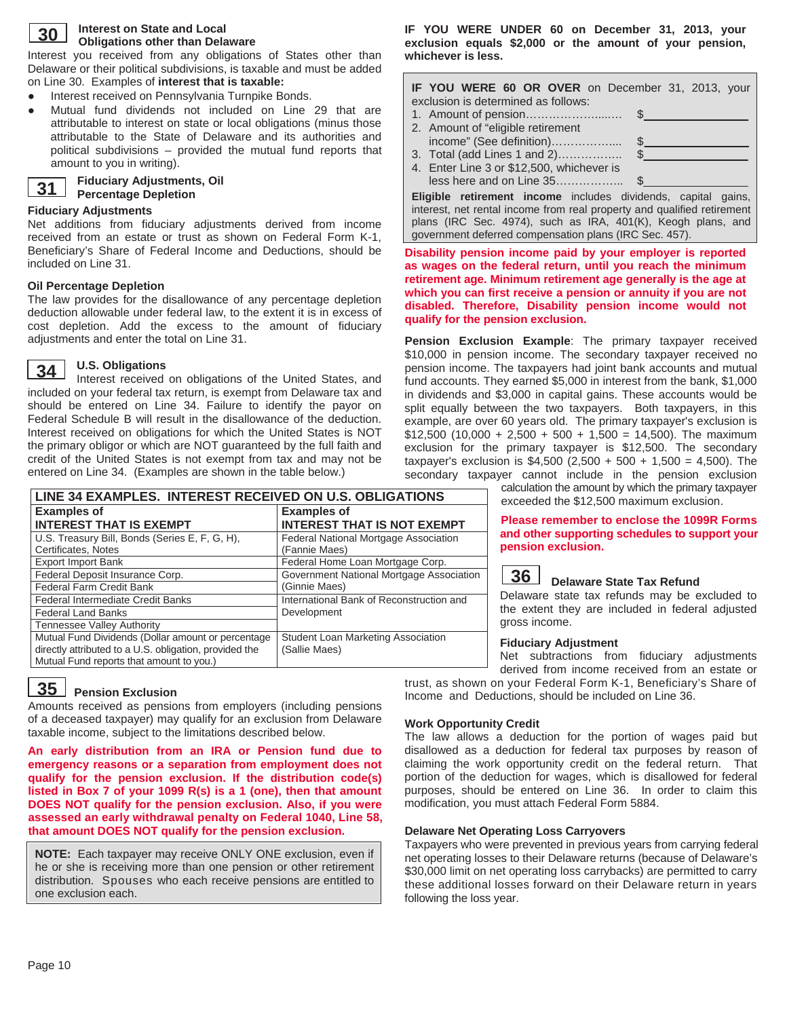

#### **Interest on State and Local Obligations other than Delaware**

Interest you received from any obligations of States other than Delaware or their political subdivisions, is taxable and must be added on Line 30. Examples of **interest that is taxable:** 

- Interest received on Pennsylvania Turnpike Bonds.
- Mutual fund dividends not included on Line 29 that are attributable to interest on state or local obligations (minus those attributable to the State of Delaware and its authorities and political subdivisions – provided the mutual fund reports that amount to you in writing).

#### **31 Fiduciary Adjustments, Oil Percentage Depletion**

#### **Fiduciary Adjustments**

Net additions from fiduciary adjustments derived from income received from an estate or trust as shown on Federal Form K-1, Beneficiary's Share of Federal Income and Deductions, should be included on Line 31.

### **Oil Percentage Depletion**

The law provides for the disallowance of any percentage depletion deduction allowable under federal law, to the extent it is in excess of cost depletion. Add the excess to the amount of fiduciary adjustments and enter the total on Line 31.

#### **34 U.S. Obligations**

Interest received on obligations of the United States, and included on your federal tax return, is exempt from Delaware tax and should be entered on Line 34. Failure to identify the payor on Federal Schedule B will result in the disallowance of the deduction. Interest received on obligations for which the United States is NOT the primary obligor or which are NOT guaranteed by the full faith and credit of the United States is not exempt from tax and may not be entered on Line 34. (Examples are shown in the table below.)

| LINE 34 EXAMPLES. INTEREST RECEIVED ON U.S. OBLIGATIONS |                                          |  |  |  |
|---------------------------------------------------------|------------------------------------------|--|--|--|
| <b>Examples of</b>                                      | <b>Examples of</b>                       |  |  |  |
| <b>INTEREST THAT IS EXEMPT</b>                          | <b>INTEREST THAT IS NOT EXEMPT</b>       |  |  |  |
| U.S. Treasury Bill, Bonds (Series E, F, G, H),          | Federal National Mortgage Association    |  |  |  |
| Certificates, Notes                                     | (Fannie Maes)                            |  |  |  |
| <b>Export Import Bank</b>                               | Federal Home Loan Mortgage Corp.         |  |  |  |
| Federal Deposit Insurance Corp.                         | Government National Mortgage Association |  |  |  |
| Federal Farm Credit Bank                                | (Ginnie Maes)                            |  |  |  |
| <b>Federal Intermediate Credit Banks</b>                | International Bank of Reconstruction and |  |  |  |
| <b>Federal Land Banks</b>                               | Development                              |  |  |  |
| <b>Tennessee Valley Authority</b>                       |                                          |  |  |  |
| Mutual Fund Dividends (Dollar amount or percentage      | Student Loan Marketing Association       |  |  |  |
| directly attributed to a U.S. obligation, provided the  | (Sallie Maes)                            |  |  |  |
| Mutual Fund reports that amount to you.)                |                                          |  |  |  |

**IF YOU WERE UNDER 60 on December 31, 2013, your exclusion equals \$2,000 or the amount of your pension, whichever is less.** 

| IF YOU WERE 60 OR OVER on December 31, 2013, your                                                             |  |
|---------------------------------------------------------------------------------------------------------------|--|
| exclusion is determined as follows:                                                                           |  |
|                                                                                                               |  |
| 2. Amount of "eligible retirement                                                                             |  |
|                                                                                                               |  |
|                                                                                                               |  |
| 4. Enter Line 3 or \$12,500, whichever is                                                                     |  |
|                                                                                                               |  |
| PER ARE EN L'ANGUNA ANGELIA (PRODUCTION DE L'ESTRE PER EN L'ESTRE PRODUCTION DE L'ESTRE PRODUCTION DE L'ANGUE |  |

**Eligible retirement income** includes dividends, capital gains, interest, net rental income from real property and qualified retirement plans (IRC Sec. 4974), such as IRA, 401(K), Keogh plans, and government deferred compensation plans (IRC Sec. 457).

**Disability pension income paid by your employer is reported as wages on the federal return, until you reach the minimum retirement age. Minimum retirement age generally is the age at which you can first receive a pension or annuity if you are not disabled. Therefore, Disability pension income would not qualify for the pension exclusion.** 

**Pension Exclusion Example**: The primary taxpayer received \$10,000 in pension income. The secondary taxpayer received no pension income. The taxpayers had joint bank accounts and mutual fund accounts. They earned \$5,000 in interest from the bank, \$1,000 in dividends and \$3,000 in capital gains. These accounts would be split equally between the two taxpayers. Both taxpayers, in this example, are over 60 years old. The primary taxpayer's exclusion is  $$12,500$  (10,000 + 2,500 + 500 + 1,500 = 14,500). The maximum exclusion for the primary taxpayer is \$12,500. The secondary taxpayer's exclusion is \$4,500 (2,500 + 500 + 1,500 = 4,500). The secondary taxpayer cannot include in the pension exclusion

calculation the amount by which the primary taxpayer exceeded the \$12,500 maximum exclusion.

**Please remember to enclose the 1099R Forms and other supporting schedules to support your pension exclusion.** 



## **Delaware State Tax Refund 36**

Delaware state tax refunds may be excluded to the extent they are included in federal adjusted gross income.

#### **Fiduciary Adjustment**

Net subtractions from fiduciary adjustments derived from income received from an estate or trust, as shown on your Federal Form K-1, Beneficiary's Share of Income and Deductions, should be included on Line 36.

## **35** Pension Exclusion

Amounts received as pensions from employers (including pensions of a deceased taxpayer) may qualify for an exclusion from Delaware taxable income, subject to the limitations described below.

**An early distribution from an IRA or Pension fund due to emergency reasons or a separation from employment does not qualify for the pension exclusion. If the distribution code(s) listed in Box 7 of your 1099 R(s) is a 1 (one), then that amount DOES NOT qualify for the pension exclusion. Also, if you were assessed an early withdrawal penalty on Federal 1040, Line 58, that amount DOES NOT qualify for the pension exclusion.** 

**NOTE:** Each taxpayer may receive ONLY ONE exclusion, even if he or she is receiving more than one pension or other retirement distribution. Spouses who each receive pensions are entitled to one exclusion each.

### **Work Opportunity Credit**

The law allows a deduction for the portion of wages paid but disallowed as a deduction for federal tax purposes by reason of claiming the work opportunity credit on the federal return. That portion of the deduction for wages, which is disallowed for federal purposes, should be entered on Line 36. In order to claim this modification, you must attach Federal Form 5884.

#### **Delaware Net Operating Loss Carryovers**

Taxpayers who were prevented in previous years from carrying federal net operating losses to their Delaware returns (because of Delaware's \$30,000 limit on net operating loss carrybacks) are permitted to carry these additional losses forward on their Delaware return in years following the loss year.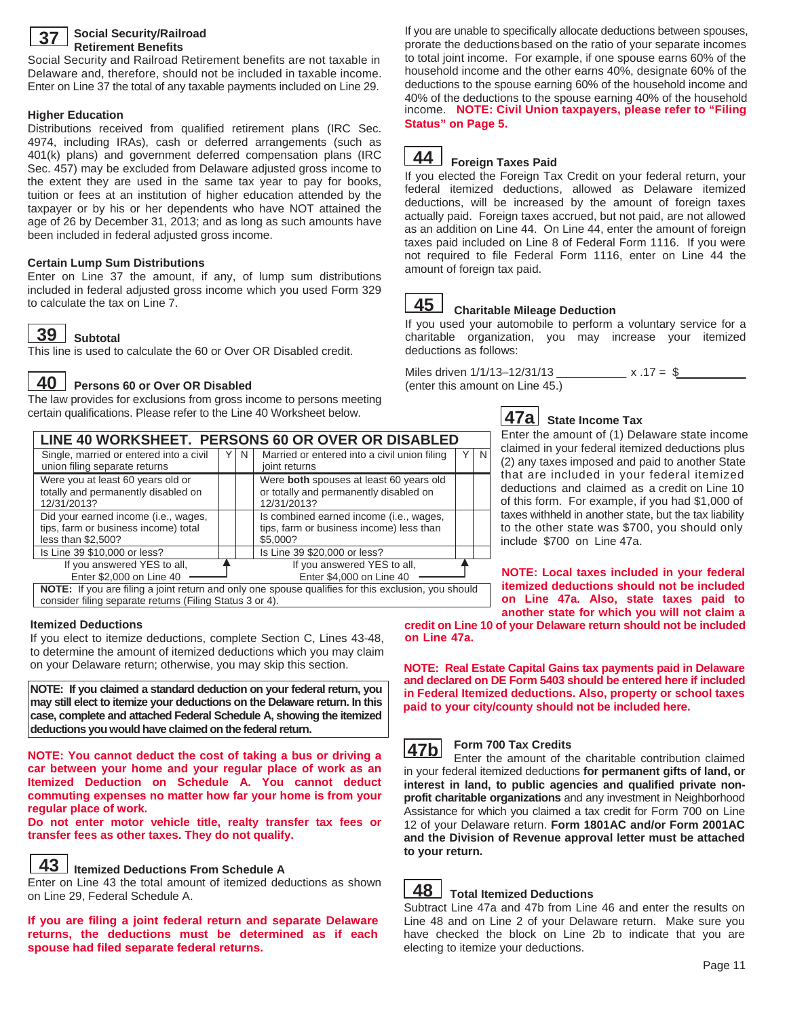

#### **Social Security/Railroad Retirement Benefits**

Social Security and Railroad Retirement benefits are not taxable in Delaware and, therefore, should not be included in taxable income. Enter on Line 37 the total of any taxable payments included on Line 29.

#### **Higher Education**

Distributions received from qualified retirement plans (IRC Sec. 4974, including IRAs), cash or deferred arrangements (such as 401(k) plans) and government deferred compensation plans (IRC Sec. 457) may be excluded from Delaware adjusted gross income to the extent they are used in the same tax year to pay for books, tuition or fees at an institution of higher education attended by the taxpayer or by his or her dependents who have NOT attained the age of 26 by December 31, 2013; and as long as such amounts have been included in federal adjusted gross income.

### **Certain Lump Sum Distributions**

Enter on Line 37 the amount, if any, of lump sum distributions included in federal adjusted gross income which you used Form 329 to calculate the tax on Line 7.

# $\overline{39}$  Subtotal

12/31/2013?

less than \$2,500?

This line is used to calculate the 60 or Over OR Disabled credit.

 $\overline{40}$  Persons 60 or Over OR Disabled

Single, married or entered into a civil union filing separate returns

Were you at least 60 years old or totally and permanently disabled on

Did your earned income (i.e., wages, tips, farm or business income) total

> If you answered YES to all, Enter \$2,000 on Line 40

consider filing separate returns (Filing Status 3 or 4).

The law provides for exclusions from gross income to persons meeting certain qualifications. Please refer to the Line 40 Worksheet below.

**LINE 40 WORKSHEET. PERSONS 60 OR OVER OR DISABLED**<br>Single married or entered into a civil  $\|\nabla \|\mathbf{N}\|$  Married or entered into a civil union filing  $\|\nabla$ 

joint returns

12/31/2013?

\$5,000?

**NOTE:** If you are filing a joint return and only one spouse qualifies for this exclusion, you should

 $Y \mid N$  Married or entered into a civil union filing

 Were **both** spouses at least 60 years old or totally and permanently disabled on

 Is combined earned income (i.e., wages, tips, farm or business income) less than

> If you answered YES to all, Enter \$4,000 on Line 40

If you are unable to specifically allocate deductions between spouses, prorate the deductions based on the ratio of your separate incomes to total joint income. For example, if one spouse earns 60% of the household income and the other earns 40%, designate 60% of the deductions to the spouse earning 60% of the household income and 40% of the deductions to the spouse earning 40% of the household income. **NOTE: Civil Union taxpayers, please refer to "Filing Status" on Page 5.**

#### **Foreign Taxes Paid 44**

If you elected the Foreign Tax Credit on your federal return, your federal itemized deductions, allowed as Delaware itemized deductions, will be increased by the amount of foreign taxes actually paid. Foreign taxes accrued, but not paid, are not allowed as an addition on Line 44. On Line 44, enter the amount of foreign taxes paid included on Line 8 of Federal Form 1116. If you were not required to file Federal Form 1116, enter on Line 44 the amount of foreign tax paid.

#### **Charitable Mileage Deduction 45**

If you used your automobile to perform a voluntary service for a charitable organization, you may increase your itemized deductions as follows:

Miles driven  $1/1/13 - 12/31/13$  \_\_\_\_\_\_\_\_\_\_\_\_\_\_\_ x .17 = \$ (enter this amount on Line 45.)



 $\overline{N}$ 

## **State Income Tax 47a**

Enter the amount of (1) Delaware state income claimed in your federal itemized deductions plus (2) any taxes imposed and paid to another State that are included in your federal itemized deductions and claimed as a credit on Line 10 of this form. For example, if you had \$1,000 of taxes withheld in another state, but the tax liability to the other state was \$700, you should only include \$700 on Line 47a.

**NOTE: Local taxes included in your federal itemized deductions should not be included on Line 47a. Also, state taxes paid to another state for which you will not claim a** 

**on Line 47a. credit on Line 10 of your Delaware return should not be included** 

**NOTE: Real Estate Capital Gains tax payments paid in Delaware and declared on DE Form 5403 should be entered here if included in Federal Itemized deductions. Also, property or school taxes paid to your city/county should not be included here.**



#### **Form 700 Tax Credits**

Enter the amount of the charitable contribution claimed in your federal itemized deductions **for permanent gifts of land, or interest in land, to public agencies and qualified private nonprofit charitable organizations** and any investment in Neighborhood Assistance for which you claimed a tax credit for Form 700 on Line 12 of your Delaware return. **Form 1801AC and/or Form 2001AC and the Division of Revenue approval letter must be attached to your return.** 



## **Total Itemized Deductions**

Subtract Line 47a and 47b from Line 46 and enter the results on Line 48 and on Line 2 of your Delaware return. Make sure you have checked the block on Line 2b to indicate that you are electing to itemize your deductions.

### **Itemized Deductions**

If you elect to itemize deductions, complete Section C, Lines 43-48, to determine the amount of itemized deductions which you may claim on your Delaware return; otherwise, you may skip this section.

Is Line 39 \$10,000 or less? | | | | Is Line 39 \$20,000 or less?

**NOTE: If you claimed a standard deduction on your federal return, you may still elect to itemize your deductions on the Delaware return. In this case, complete and attached Federal Schedule A, showing the itemized deductions you would have claimed on the federal return.** 

**NOTE: You cannot deduct the cost of taking a bus or driving a car between your home and your regular place of work as an Itemized Deduction on Schedule A. You cannot deduct commuting expenses no matter how far your home is from your regular place of work.** 

**Do not enter motor vehicle title, realty transfer tax fees or transfer fees as other taxes. They do not qualify.** 

## $\overline{43}$  Itemized Deductions From Schedule A

Enter on Line 43 the total amount of itemized deductions as shown on Line 29, Federal Schedule A.

**If you are filing a joint federal return and separate Delaware returns, the deductions must be determined as if each spouse had filed separate federal returns.**